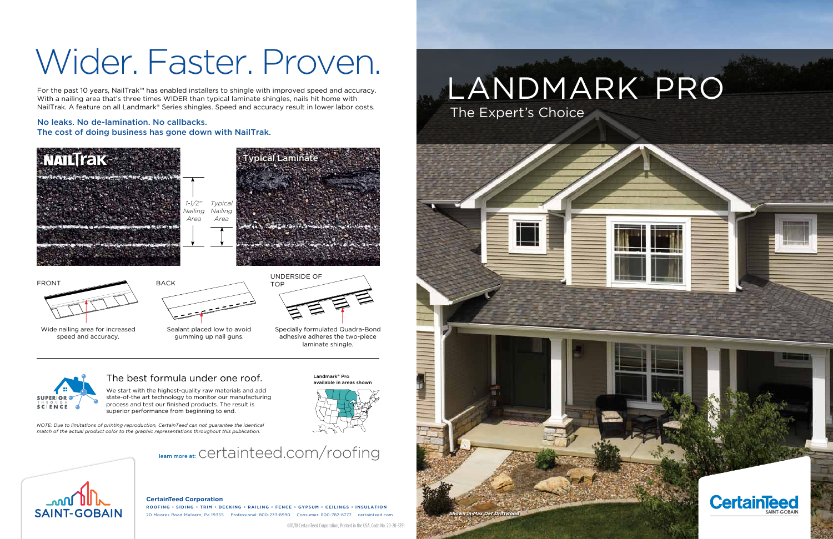#### **CertainTeed Corporation**

**ROOFING • SIDING • TRIM • DECKING • RAILING • FENCE • GYPSUM • CEILINGS • INSULATION** 20 Moores Road Malvern, Pa 19355 Professional: 800-233-8990 Consumer: 800-782-8777 certainteed.com

©01/18 CertainTeed Corporation, Printed in the USA, Code No. 20-20-3291

We start with the highest-quality raw materials and add state-of-the art technology to monitor our manufacturing process and test our finished products. The result is superior performance from beginning to end.

## The best formula under one roof.

*NOTE: Due to limitations of printing reproduction, CertainTeed can not guarantee the identical match of the actual product color to the graphic representations throughout this publication.*

## learn more at: Certainteed.com/roofing



Landmark® Pro ailable in areas show



Wide nailing area for increased speed and accuracy.





Back



Specially formulated Quadra-Bond adhesive adheres the two-piece laminate shingle.

For the past 10 years, NailTrak™ has enabled installers to shingle with improved speed and accuracy. With a nailing area that's three times WIDER than typical laminate shingles, nails hit home with NailTrak. A feature on all Landmark® Series shingles. Speed and accuracy result in lower labor costs.



### No leaks. No de-lamination. No callbacks. The cost of doing business has gone down with NailTrak.

# Wider. Faster. Proven.